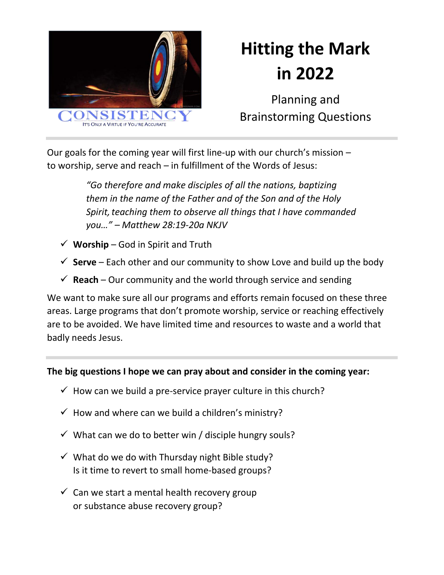

# **Hitting the Mark in 2022**

Planning and Brainstorming Questions

Our goals for the coming year will first line-up with our church's mission – to worship, serve and reach – in fulfillment of the Words of Jesus:

> *"Go therefore and make disciples of all the nations, baptizing them in the name of the Father and of the Son and of the Holy Spirit, teaching them to observe all things that I have commanded you…" – Matthew 28:19-20a NKJV*

- $\checkmark$  Worship God in Spirit and Truth
- $\checkmark$  **Serve** Each other and our community to show Love and build up the body
- $\checkmark$  **Reach** Our community and the world through service and sending

We want to make sure all our programs and efforts remain focused on these three areas. Large programs that don't promote worship, service or reaching effectively are to be avoided. We have limited time and resources to waste and a world that badly needs Jesus.

#### **The big questions I hope we can pray about and consider in the coming year:**

- $\checkmark$  How can we build a pre-service prayer culture in this church?
- $\checkmark$  How and where can we build a children's ministry?
- $\checkmark$  What can we do to better win / disciple hungry souls?
- $\checkmark$  What do we do with Thursday night Bible study? Is it time to revert to small home-based groups?
- $\checkmark$  Can we start a mental health recovery group or substance abuse recovery group?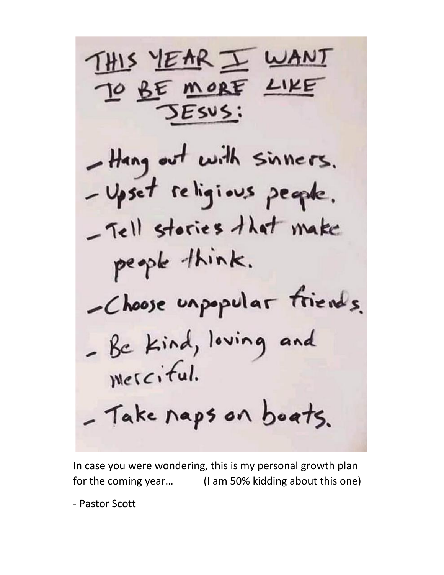THIS YEAR I WANT TO BE MORE LIKE ESUS: - Hang out with sinners. - Upset religious people. - Tell stories that make people think. -Choose unpopular friends. - Be Kind, loving and merciful. - Take naps on boats.

In case you were wondering, this is my personal growth plan for the coming year… (I am 50% kidding about this one)

- Pastor Scott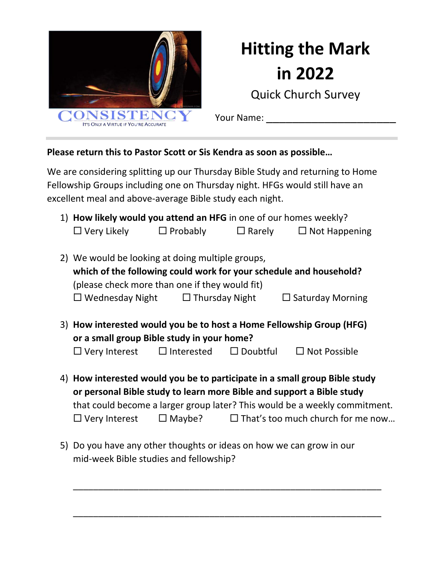

## **Hitting the Mark in 2022**

Quick Church Survey

Your Name:

#### **Please return this to Pastor Scott or Sis Kendra as soon as possible…**

We are considering splitting up our Thursday Bible Study and returning to Home Fellowship Groups including one on Thursday night. HFGs would still have an excellent meal and above-average Bible study each night.

|  | 1) How likely would you attend an HFG in one of our homes weekly?                                                  |                   |                 |                                                                            |  |  |  |  |
|--|--------------------------------------------------------------------------------------------------------------------|-------------------|-----------------|----------------------------------------------------------------------------|--|--|--|--|
|  | $\Box$ Very Likely                                                                                                 | $\Box$ Probably   | $\Box$ Rarely   | $\Box$ Not Happening                                                       |  |  |  |  |
|  |                                                                                                                    |                   |                 |                                                                            |  |  |  |  |
|  | 2) We would be looking at doing multiple groups,                                                                   |                   |                 |                                                                            |  |  |  |  |
|  | which of the following could work for your schedule and household?                                                 |                   |                 |                                                                            |  |  |  |  |
|  | (please check more than one if they would fit)                                                                     |                   |                 |                                                                            |  |  |  |  |
|  | $\Box$ Wednesday Night $\Box$ Thursday Night                                                                       |                   |                 | $\Box$ Saturday Morning                                                    |  |  |  |  |
|  |                                                                                                                    |                   |                 |                                                                            |  |  |  |  |
|  | 3) How interested would you be to host a Home Fellowship Group (HFG)<br>or a small group Bible study in your home? |                   |                 |                                                                            |  |  |  |  |
|  |                                                                                                                    |                   |                 |                                                                            |  |  |  |  |
|  | $\Box$ Very Interest                                                                                               | $\Box$ Interested | $\Box$ Doubtful | $\Box$ Not Possible                                                        |  |  |  |  |
|  |                                                                                                                    |                   |                 |                                                                            |  |  |  |  |
|  |                                                                                                                    |                   |                 | 4) How interested would you be to participate in a small group Bible study |  |  |  |  |

**or personal Bible study to learn more Bible and support a Bible study** that could become a larger group later? This would be a weekly commitment.  $\Box$  Very Interest  $\Box$  Maybe?  $\Box$  That's too much church for me now...

\_\_\_\_\_\_\_\_\_\_\_\_\_\_\_\_\_\_\_\_\_\_\_\_\_\_\_\_\_\_\_\_\_\_\_\_\_\_\_\_\_\_\_\_\_\_\_\_\_\_\_\_\_\_\_\_\_\_\_\_\_

\_\_\_\_\_\_\_\_\_\_\_\_\_\_\_\_\_\_\_\_\_\_\_\_\_\_\_\_\_\_\_\_\_\_\_\_\_\_\_\_\_\_\_\_\_\_\_\_\_\_\_\_\_\_\_\_\_\_\_\_\_

5) Do you have any other thoughts or ideas on how we can grow in our mid-week Bible studies and fellowship?